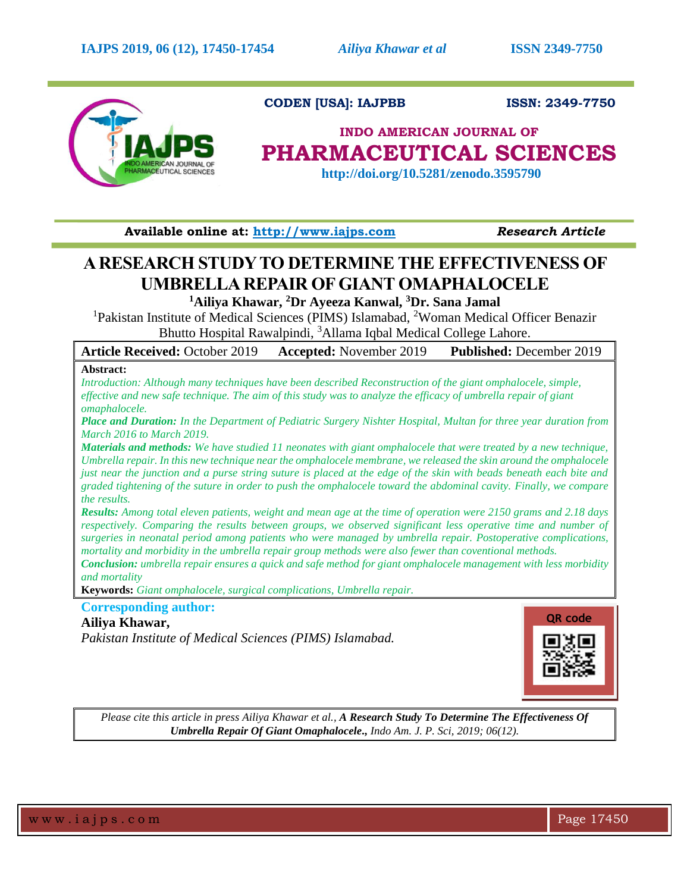

 **CODEN [USA]: IAJPBB ISSN: 2349-7750**

# **INDO AMERICAN JOURNAL OF PHARMACEUTICAL SCIENCES**

 **http://doi.org/10.5281/zenodo.3595790**

**Available online at: [http://www.iajps.com](http://www.iajps.com/)** *Research Article*

# **A RESEARCH STUDY TO DETERMINE THE EFFECTIVENESS OF UMBRELLA REPAIR OF GIANT OMAPHALOCELE**

**<sup>1</sup>Ailiya Khawar, <sup>2</sup>Dr Ayeeza Kanwal, <sup>3</sup>Dr. Sana Jamal**

<sup>1</sup>Pakistan Institute of Medical Sciences (PIMS) Islamabad, <sup>2</sup>Woman Medical Officer Benazir Bhutto Hospital Rawalpindi, <sup>3</sup>Allama Iqbal Medical College Lahore.

| <b>Article Received: October 2019</b> | <b>Accepted:</b> November 2019 | <b>Published: December 2019</b> |
|---------------------------------------|--------------------------------|---------------------------------|
|                                       |                                |                                 |

# **Abstract:**

*Introduction: Although many techniques have been described Reconstruction of the giant omphalocele, simple, effective and new safe technique. The aim of this study was to analyze the efficacy of umbrella repair of giant omaphalocele.*

*Place and Duration: In the Department of Pediatric Surgery Nishter Hospital, Multan for three year duration from March 2016 to March 2019.*

*Materials and methods: We have studied 11 neonates with giant omphalocele that were treated by a new technique, Umbrella repair. In this new technique near the omphalocele membrane, we released the skin around the omphalocele just near the junction and a purse string suture is placed at the edge of the skin with beads beneath each bite and graded tightening of the suture in order to push the omphalocele toward the abdominal cavity. Finally, we compare the results.*

*Results: Among total eleven patients, weight and mean age at the time of operation were 2150 grams and 2.18 days respectively. Comparing the results between groups, we observed significant less operative time and number of surgeries in neonatal period among patients who were managed by umbrella repair. Postoperative complications, mortality and morbidity in the umbrella repair group methods were also fewer than coventional methods.*

*Conclusion: umbrella repair ensures a quick and safe method for giant omphalocele management with less morbidity and mortality*

**Keywords:** *Giant omphalocele, surgical complications, Umbrella repair.*

# **Corresponding author: Ailiya Khawar,**

*Pakistan Institute of Medical Sciences (PIMS) Islamabad.*



*Please cite this article in press Ailiya Khawar et al., A Research Study To Determine The Effectiveness Of Umbrella Repair Of Giant Omaphalocele., Indo Am. J. P. Sci, 2019; 06(12).*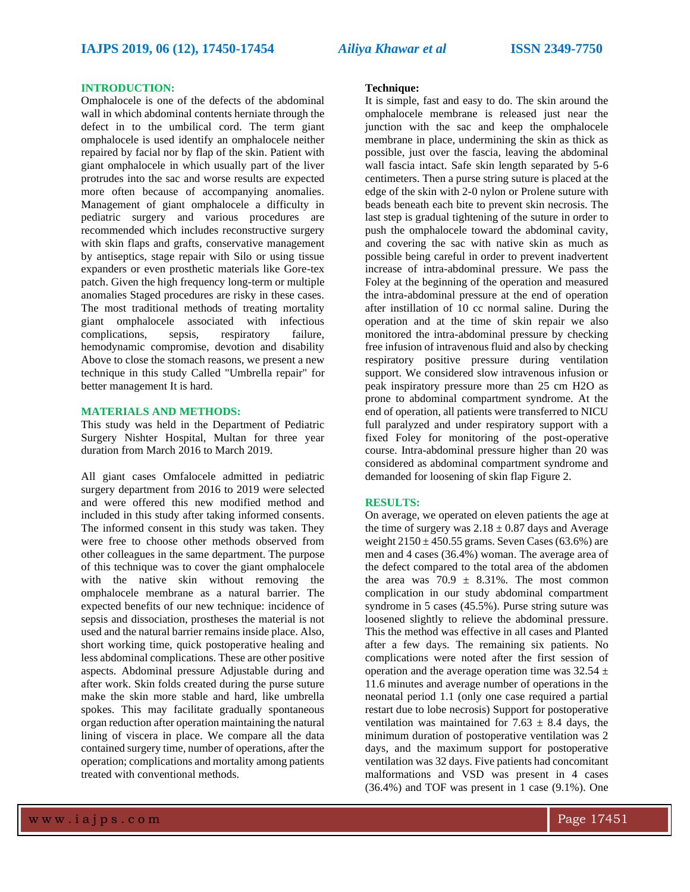# **INTRODUCTION:**

Omphalocele is one of the defects of the abdominal wall in which abdominal contents herniate through the defect in to the umbilical cord. The term giant omphalocele is used identify an omphalocele neither repaired by facial nor by flap of the skin. Patient with giant omphalocele in which usually part of the liver protrudes into the sac and worse results are expected more often because of accompanying anomalies. Management of giant omphalocele a difficulty in pediatric surgery and various procedures are recommended which includes reconstructive surgery with skin flaps and grafts, conservative management by antiseptics, stage repair with Silo or using tissue expanders or even prosthetic materials like Gore-tex patch. Given the high frequency long-term or multiple anomalies Staged procedures are risky in these cases. The most traditional methods of treating mortality giant omphalocele associated with infectious complications, sepsis, respiratory failure, hemodynamic compromise, devotion and disability Above to close the stomach reasons, we present a new technique in this study Called "Umbrella repair" for better management It is hard.

# **MATERIALS AND METHODS:**

This study was held in the Department of Pediatric Surgery Nishter Hospital, Multan for three year duration from March 2016 to March 2019.

All giant cases Omfalocele admitted in pediatric surgery department from 2016 to 2019 were selected and were offered this new modified method and included in this study after taking informed consents. The informed consent in this study was taken. They were free to choose other methods observed from other colleagues in the same department. The purpose of this technique was to cover the giant omphalocele with the native skin without removing the omphalocele membrane as a natural barrier. The expected benefits of our new technique: incidence of sepsis and dissociation, prostheses the material is not used and the natural barrier remains inside place. Also, short working time, quick postoperative healing and less abdominal complications. These are other positive aspects. Abdominal pressure Adjustable during and after work. Skin folds created during the purse suture make the skin more stable and hard, like umbrella spokes. This may facilitate gradually spontaneous organ reduction after operation maintaining the natural lining of viscera in place. We compare all the data contained surgery time, number of operations, after the operation; complications and mortality among patients treated with conventional methods.

# **Technique:**

It is simple, fast and easy to do. The skin around the omphalocele membrane is released just near the junction with the sac and keep the omphalocele membrane in place, undermining the skin as thick as possible, just over the fascia, leaving the abdominal wall fascia intact. Safe skin length separated by 5-6 centimeters. Then a purse string suture is placed at the edge of the skin with 2-0 nylon or Prolene suture with beads beneath each bite to prevent skin necrosis. The last step is gradual tightening of the suture in order to push the omphalocele toward the abdominal cavity, and covering the sac with native skin as much as possible being careful in order to prevent inadvertent increase of intra-abdominal pressure. We pass the Foley at the beginning of the operation and measured the intra-abdominal pressure at the end of operation after instillation of 10 cc normal saline. During the operation and at the time of skin repair we also monitored the intra-abdominal pressure by checking free infusion of intravenous fluid and also by checking respiratory positive pressure during ventilation support. We considered slow intravenous infusion or peak inspiratory pressure more than 25 cm H2O as prone to abdominal compartment syndrome. At the end of operation, all patients were transferred to NICU full paralyzed and under respiratory support with a fixed Foley for monitoring of the post-operative course. Intra-abdominal pressure higher than 20 was considered as abdominal compartment syndrome and demanded for loosening of skin flap Figure 2.

#### **RESULTS:**

On average, we operated on eleven patients the age at the time of surgery was  $2.18 \pm 0.87$  days and Average weight  $2150 \pm 450.55$  grams. Seven Cases (63.6%) are men and 4 cases (36.4%) woman. The average area of the defect compared to the total area of the abdomen the area was  $70.9 \pm 8.31\%$ . The most common complication in our study abdominal compartment syndrome in 5 cases (45.5%). Purse string suture was loosened slightly to relieve the abdominal pressure. This the method was effective in all cases and Planted after a few days. The remaining six patients. No complications were noted after the first session of operation and the average operation time was  $32.54 \pm$ 11.6 minutes and average number of operations in the neonatal period 1.1 (only one case required a partial restart due to lobe necrosis) Support for postoperative ventilation was maintained for 7.63  $\pm$  8.4 days, the minimum duration of postoperative ventilation was 2 days, and the maximum support for postoperative ventilation was 32 days. Five patients had concomitant malformations and VSD was present in 4 cases (36.4%) and TOF was present in 1 case (9.1%). One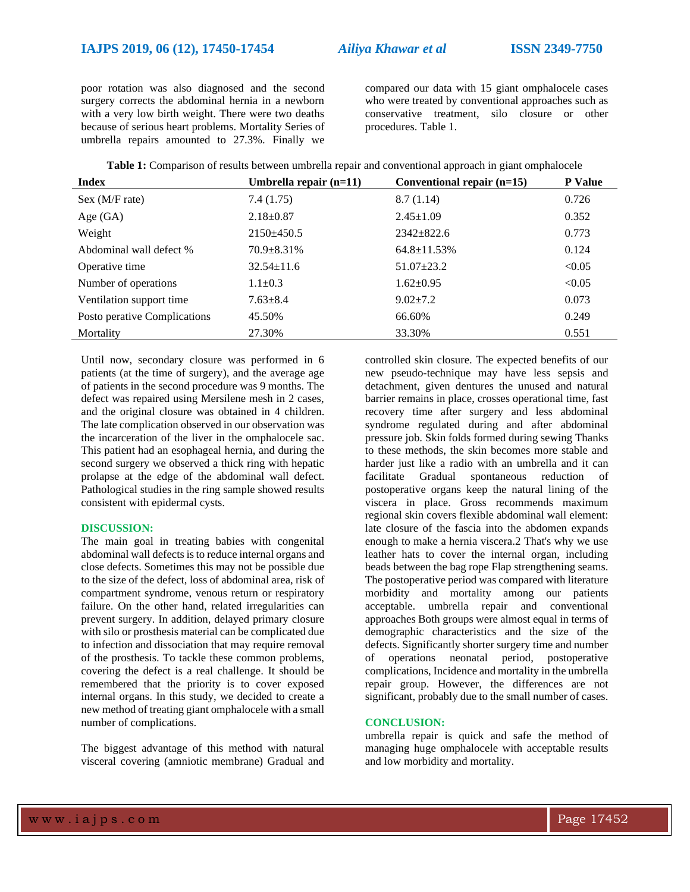poor rotation was also diagnosed and the second surgery corrects the abdominal hernia in a newborn with a very low birth weight. There were two deaths because of serious heart problems. Mortality Series of umbrella repairs amounted to 27.3%. Finally we

compared our data with 15 giant omphalocele cases who were treated by conventional approaches such as conservative treatment, silo closure or other procedures. Table 1.

| Table 1: Comparison of results between umbrella repair and conventional approach in giant omphalocele |  |  |
|-------------------------------------------------------------------------------------------------------|--|--|
|-------------------------------------------------------------------------------------------------------|--|--|

| <b>Index</b>                 | Umbrella repair $(n=11)$ | Conventional repair (n=15) | <b>P</b> Value |
|------------------------------|--------------------------|----------------------------|----------------|
| Sex (M/F rate)               | 7.4(1.75)                | 8.7(1.14)                  | 0.726          |
| Age $(GA)$                   | $2.18 \pm 0.87$          | $2.45 \pm 1.09$            | 0.352          |
| Weight                       | $2150\pm450.5$           | $2342 \pm 822.6$           | 0.773          |
| Abdominal wall defect %      | $70.9 \pm 8.31\%$        | $64.8 \pm 11.53\%$         | 0.124          |
| Operative time               | $32.54 \pm 11.6$         | $51.07 \pm 23.2$           | < 0.05         |
| Number of operations         | $1.1 \pm 0.3$            | $1.62 \pm 0.95$            | < 0.05         |
| Ventilation support time     | $7.63 \pm 8.4$           | $9.02 \pm 7.2$             | 0.073          |
| Posto perative Complications | 45.50%                   | 66.60%                     | 0.249          |
| Mortality                    | 27.30%                   | 33.30%                     | 0.551          |

Until now, secondary closure was performed in 6 patients (at the time of surgery), and the average age of patients in the second procedure was 9 months. The defect was repaired using Mersilene mesh in 2 cases, and the original closure was obtained in 4 children. The late complication observed in our observation was the incarceration of the liver in the omphalocele sac. This patient had an esophageal hernia, and during the second surgery we observed a thick ring with hepatic prolapse at the edge of the abdominal wall defect. Pathological studies in the ring sample showed results consistent with epidermal cysts.

### **DISCUSSION:**

The main goal in treating babies with congenital abdominal wall defects is to reduce internal organs and close defects. Sometimes this may not be possible due to the size of the defect, loss of abdominal area, risk of compartment syndrome, venous return or respiratory failure. On the other hand, related irregularities can prevent surgery. In addition, delayed primary closure with silo or prosthesis material can be complicated due to infection and dissociation that may require removal of the prosthesis. To tackle these common problems, covering the defect is a real challenge. It should be remembered that the priority is to cover exposed internal organs. In this study, we decided to create a new method of treating giant omphalocele with a small number of complications.

The biggest advantage of this method with natural visceral covering (amniotic membrane) Gradual and controlled skin closure. The expected benefits of our new pseudo-technique may have less sepsis and detachment, given dentures the unused and natural barrier remains in place, crosses operational time, fast recovery time after surgery and less abdominal syndrome regulated during and after abdominal pressure job. Skin folds formed during sewing Thanks to these methods, the skin becomes more stable and harder just like a radio with an umbrella and it can facilitate Gradual spontaneous reduction of postoperative organs keep the natural lining of the viscera in place. Gross recommends maximum regional skin covers flexible abdominal wall element: late closure of the fascia into the abdomen expands enough to make a hernia viscera.2 That's why we use leather hats to cover the internal organ, including beads between the bag rope Flap strengthening seams. The postoperative period was compared with literature morbidity and mortality among our patients acceptable. umbrella repair and conventional approaches Both groups were almost equal in terms of demographic characteristics and the size of the defects. Significantly shorter surgery time and number of operations neonatal period, postoperative complications, Incidence and mortality in the umbrella repair group. However, the differences are not significant, probably due to the small number of cases.

# **CONCLUSION:**

umbrella repair is quick and safe the method of managing huge omphalocele with acceptable results and low morbidity and mortality.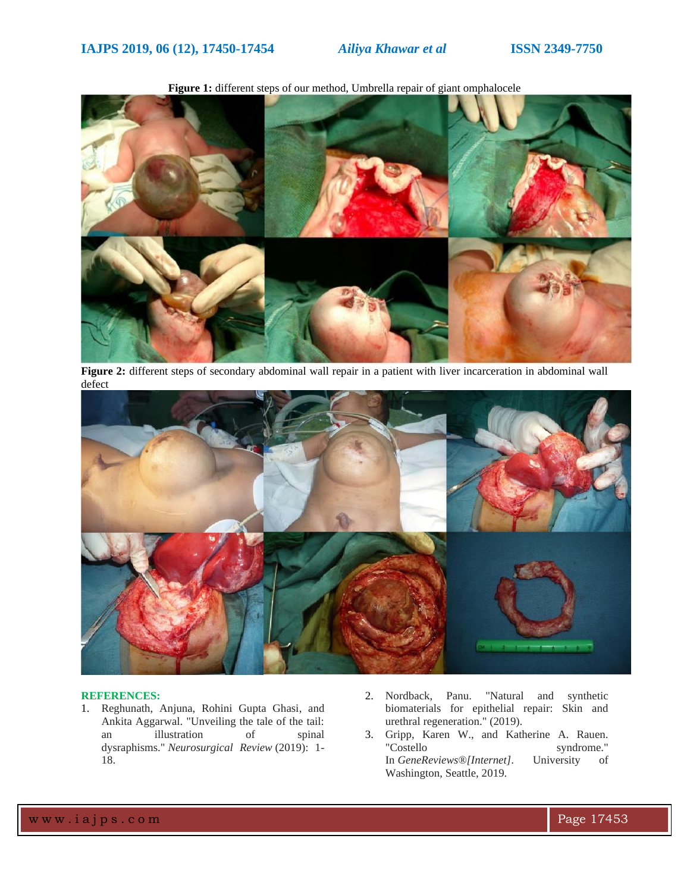

**Figure 1:** different steps of our method, Umbrella repair of giant omphalocele

**Figure 2:** different steps of secondary abdominal wall repair in a patient with liver incarceration in abdominal wall defect



### **REFERENCES:**

- 1. Reghunath, Anjuna, Rohini Gupta Ghasi, and Ankita Aggarwal. "Unveiling the tale of the tail: an illustration of spinal dysraphisms." *Neurosurgical Review* (2019): 1- 18.
- 2. Nordback, Panu. "Natural and synthetic biomaterials for epithelial repair: Skin and urethral regeneration." (2019).
- 3. Gripp, Karen W., and Katherine A. Rauen. "Costello syndrome." In *GeneReviews®[Internet]*. University of Washington, Seattle, 2019.